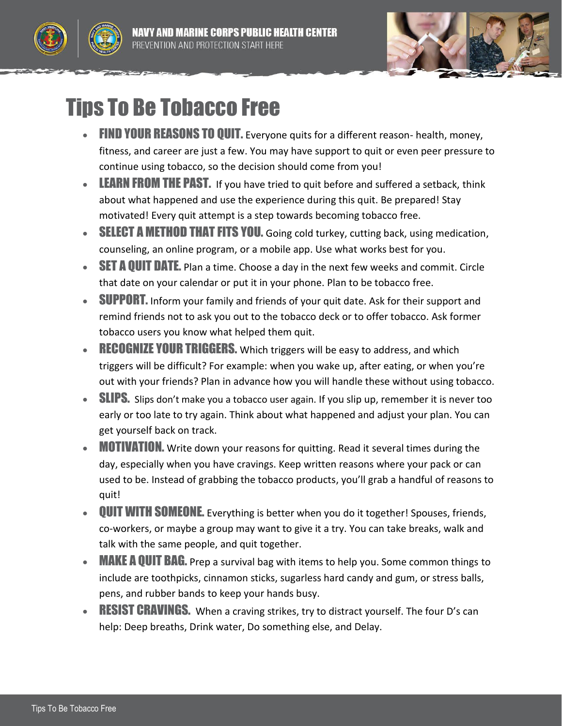



## Tips To Be Tobacco Free

- FIND YOUR REASONS TO QUIT. Everyone quits for a different reason- health, money, fitness, and career are just a few. You may have support to quit or even peer pressure to continue using tobacco, so the decision should come from you!
- **LEARN FROM THE PAST.** If you have tried to quit before and suffered a setback, think about what happened and use the experience during this quit. Be prepared! Stay motivated! Every quit attempt is a step towards becoming tobacco free.
- SELECT A METHOD THAT FITS YOU. Going cold turkey, cutting back, using medication, counseling, an online program, or a mobile app. Use what works best for you.
- SET A QUIT DATE. Plan a time. Choose a day in the next few weeks and commit. Circle that date on your calendar or put it in your phone. Plan to be tobacco free.
- **SUPPORT.** Inform your family and friends of your quit date. Ask for their support and remind friends not to ask you out to the tobacco deck or to offer tobacco. Ask former tobacco users you know what helped them quit.
- RECOGNIZE YOUR TRIGGERS. Which triggers will be easy to address, and which triggers will be difficult? For example: when you wake up, after eating, or when you're out with your friends? Plan in advance how you will handle these without using tobacco.
- **SLIPS.** Slips don't make you a tobacco user again. If you slip up, remember it is never too early or too late to try again. Think about what happened and adjust your plan. You can get yourself back on track.
- **MOTIVATION.** Write down your reasons for quitting. Read it several times during the day, especially when you have cravings. Keep written reasons where your pack or can used to be. Instead of grabbing the tobacco products, you'll grab a handful of reasons to quit!
- **QUIT WITH SOMEONE.** Everything is better when you do it together! Spouses, friends, co-workers, or maybe a group may want to give it a try. You can take breaks, walk and talk with the same people, and quit together.
- **MAKE A QUIT BAG.** Prep a survival bag with items to help you. Some common things to include are toothpicks, cinnamon sticks, sugarless hard candy and gum, or stress balls, pens, and rubber bands to keep your hands busy.
- **RESIST CRAVINGS.** When a craving strikes, try to distract yourself. The four D's can help: Deep breaths, Drink water, Do something else, and Delay.